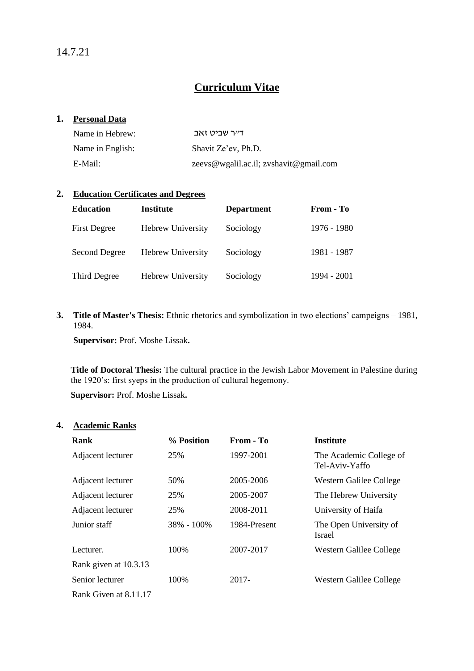14.7.21

# **Curriculum Vitae**

#### **1. Personal Data**

| Name in Hebrew:  | דייר שביט זאב                          |
|------------------|----------------------------------------|
| Name in English: | Shavit Ze'ev, Ph.D.                    |
| E-Mail:          | zeevs@wgalil.ac.il; zvshavit@gmail.com |

#### **2. Education Certificates and Degrees**

| <b>Education</b>    | <b>Institute</b>         | <b>Department</b> | From - To   |
|---------------------|--------------------------|-------------------|-------------|
| <b>First Degree</b> | <b>Hebrew University</b> | Sociology         | 1976 - 1980 |
| Second Degree       | <b>Hebrew University</b> | Sociology         | 1981 - 1987 |
| Third Degree        | <b>Hebrew University</b> | Sociology         | 1994 - 2001 |

**3. Title of Master's Thesis:** Ethnic rhetorics and symbolization in two elections' campeigns – 1981, 1984.

**Supervisor:** Prof**.** Moshe Lissak**.**

**Title of Doctoral Thesis:** The cultural practice in the Jewish Labor Movement in Palestine during the 1920's: first syeps in the production of cultural hegemony.

**Supervisor:** Prof. Moshe Lissak**.**

#### **4. Academic Ranks**

| Rank                  | % Position     | From - To    | <b>Institute</b>                          |
|-----------------------|----------------|--------------|-------------------------------------------|
| Adjacent lecturer     | 25%            | 1997-2001    | The Academic College of<br>Tel-Aviv-Yaffo |
| Adjacent lecturer     | 50%            | 2005-2006    | Western Galilee College                   |
| Adjacent lecturer     | 25%            | 2005-2007    | The Hebrew University                     |
| Adjacent lecturer     | 25%            | 2008-2011    | University of Haifa                       |
| Junior staff          | $38\% - 100\%$ | 1984-Present | The Open University of<br><b>Israel</b>   |
| Lecturer.             | 100%           | 2007-2017    | Western Galilee College                   |
| Rank given at 10.3.13 |                |              |                                           |
| Senior lecturer       | 100\%          | 2017-        | Western Galilee College                   |
| Rank Given at 8.11.17 |                |              |                                           |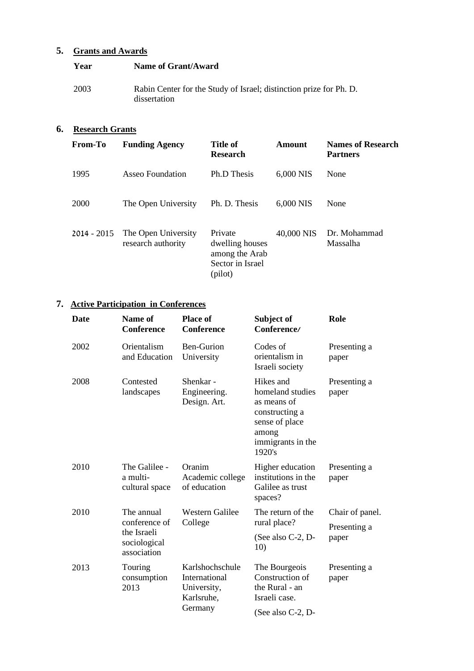### **5. Grants and Awards**

| Year | Name of Grant/Award                                                                |
|------|------------------------------------------------------------------------------------|
| 2003 | Rabin Center for the Study of Israel; distinction prize for Ph. D.<br>dissertation |

### **6. Research Grants**

| <b>From-To</b> | <b>Funding Agency</b>                     | <b>Title of</b><br><b>Research</b>                                          | Amount     | <b>Names of Research</b><br><b>Partners</b> |
|----------------|-------------------------------------------|-----------------------------------------------------------------------------|------------|---------------------------------------------|
| 1995           | Asseo Foundation                          | Ph.D Thesis                                                                 | 6,000 NIS  | None                                        |
| 2000           | The Open University                       | Ph. D. Thesis                                                               | 6,000 NIS  | None                                        |
| $2014 - 2015$  | The Open University<br>research authority | Private<br>dwelling houses<br>among the Arab<br>Sector in Israel<br>(pilot) | 40,000 NIS | Dr. Mohammad<br>Massalha                    |

# **7. Active Participation in Conferences**

| <b>Date</b> | Name of<br><b>Conference</b>                                              | <b>Place of</b><br><b>Conference</b>                                     | Subject of<br>Conference/                                                                                                | Role                            |
|-------------|---------------------------------------------------------------------------|--------------------------------------------------------------------------|--------------------------------------------------------------------------------------------------------------------------|---------------------------------|
| 2002        | Orientalism<br>and Education                                              | Ben-Gurion<br>University                                                 | Codes of<br>orientalism in<br>Israeli society                                                                            | Presenting a<br>paper           |
| 2008        | Contested<br>landscapes                                                   | Shenkar -<br>Engineering.<br>Design. Art.                                | Hikes and<br>homeland studies<br>as means of<br>constructing a<br>sense of place<br>among<br>immigrants in the<br>1920's | Presenting a<br>paper           |
| 2010        | The Galilee -<br>a multi-<br>cultural space                               | Oranim<br>Academic college<br>of education                               | Higher education<br>institutions in the<br>Galilee as trust<br>spaces?                                                   | Presenting a<br>paper           |
| 2010        | The annual<br>conference of<br>the Israeli<br>sociological<br>association | <b>Western Galilee</b><br>College                                        | The return of the<br>rural place?                                                                                        | Chair of panel.<br>Presenting a |
|             |                                                                           |                                                                          | (See also C-2, D-<br>10)                                                                                                 | paper                           |
| 2013        | Touring<br>consumption<br>2013                                            | Karlshochschule<br>International<br>University,<br>Karlsruhe,<br>Germany | The Bourgeois<br>Construction of<br>the Rural - an<br>Israeli case.                                                      | Presenting a<br>paper           |
|             |                                                                           |                                                                          | (See also C-2, D-                                                                                                        |                                 |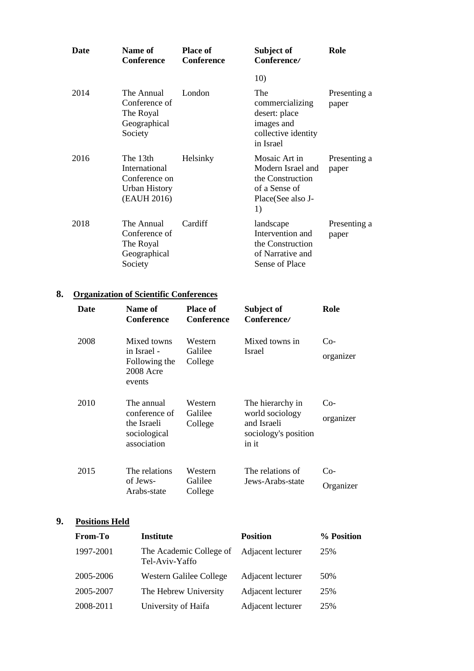| Date | Name of<br><b>Conference</b>                                               | <b>Place of</b><br><b>Conference</b> | Subject of<br>Conference/                                                                          | Role                  |
|------|----------------------------------------------------------------------------|--------------------------------------|----------------------------------------------------------------------------------------------------|-----------------------|
|      |                                                                            |                                      | 10)                                                                                                |                       |
| 2014 | The Annual<br>Conference of<br>The Royal<br>Geographical<br>Society        | London                               | The<br>commercializing<br>desert: place<br>images and<br>collective identity<br>in Israel          | Presenting a<br>paper |
| 2016 | The 13th<br>International<br>Conference on<br>Urban History<br>(EAUH 2016) | Helsinky                             | Mosaic Art in<br>Modern Israel and<br>the Construction<br>of a Sense of<br>Place(See also J-<br>1) | Presenting a<br>paper |
| 2018 | The Annual<br>Conference of<br>The Royal<br>Geographical<br>Society        | Cardiff                              | landscape<br>Intervention and<br>the Construction<br>of Narrative and<br><b>Sense of Place</b>     | Presenting a<br>paper |

### **8. Organization of Scientific Conferences**

| Date | Name of<br><b>Conference</b>                                              | <b>Place of</b><br><b>Conference</b> | Subject of<br>Conference/                                                           | Role               |
|------|---------------------------------------------------------------------------|--------------------------------------|-------------------------------------------------------------------------------------|--------------------|
| 2008 | Mixed towns<br>in Israel -<br>Following the<br>2008 Acre<br>events        | Western<br>Galilee<br>College        | Mixed towns in<br>Israel                                                            | Co-<br>organizer   |
| 2010 | The annual<br>conference of<br>the Israeli<br>sociological<br>association | Western<br>Galilee<br>College        | The hierarchy in<br>world sociology<br>and Israeli<br>sociology's position<br>in it | $Co-$<br>organizer |
| 2015 | The relations<br>of Jews-<br>Arabs-state                                  | Western<br>Galilee<br>College        | The relations of<br>Jews-Arabs-state                                                | Co-<br>Organizer   |

# **9. Positions Held**

| From-To   | <b>Institute</b>                          | <b>Position</b>   | % Position |
|-----------|-------------------------------------------|-------------------|------------|
| 1997-2001 | The Academic College of<br>Tel-Aviv-Yaffo | Adjacent lecturer | 25%        |
| 2005-2006 | Western Galilee College                   | Adjacent lecturer | 50%        |
| 2005-2007 | The Hebrew University                     | Adjacent lecturer | 25%        |
| 2008-2011 | University of Haifa                       | Adjacent lecturer | 25%        |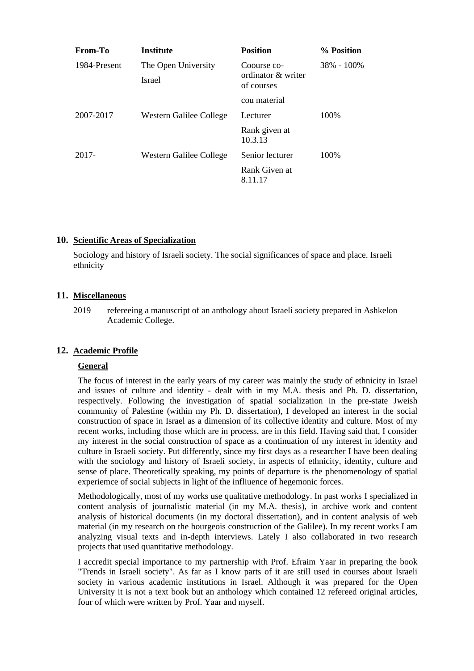| From-To      | <b>Institute</b>        | <b>Position</b>                   | % Position     |
|--------------|-------------------------|-----------------------------------|----------------|
| 1984-Present | The Open University     | Coourse co-<br>ordinator & writer | $38\% - 100\%$ |
|              | <b>Israel</b>           | of courses                        |                |
|              |                         | cou material                      |                |
| 2007-2017    | Western Galilee College | Lecturer                          | 100\%          |
|              |                         | Rank given at<br>10.3.13          |                |
| 2017-        | Western Galilee College | Senior lecturer                   | 100\%          |
|              |                         | Rank Given at<br>8.11.17          |                |

#### **10. Scientific Areas of Specialization**

Sociology and history of Israeli society. The social significances of space and place. Israeli ethnicity

#### **11. Miscellaneous**

2019 refereeing a manuscript of an anthology about Israeli society prepared in Ashkelon Academic College.

#### **12. Academic Profile**

#### **General**

The focus of interest in the early years of my career was mainly the study of ethnicity in Israel and issues of culture and identity - dealt with in my M.A. thesis and Ph. D. dissertation, respectively. Following the investigation of spatial socialization in the pre-state Jweish community of Palestine (within my Ph. D. dissertation), I developed an interest in the social construction of space in Israel as a dimension of its collective identity and culture. Most of my recent works, including those which are in process, are in this field. Having said that, I consider my interest in the social construction of space as a continuation of my interest in identity and culture in Israeli society. Put differently, since my first days as a researcher I have been dealing with the sociology and history of Israeli society, in aspects of ethnicity, identity, culture and sense of place. Theoretically speaking, my points of departure is the phenomenology of spatial experiemce of social subjects in light of the infliuence of hegemonic forces.

Methodologically, most of my works use qualitative methodology. In past works I specialized in content analysis of journalistic material (in my M.A. thesis), in archive work and content analysis of historical documents (in my doctoral dissertation), and in content analysis of web material (in my research on the bourgeois construction of the Galilee). In my recent works I am analyzing visual texts and in-depth interviews. Lately I also collaborated in two research projects that used quantitative methodology.

I accredit special importance to my partnership with Prof. Efraim Yaar in preparing the book "Trends in Israeli society". As far as I know parts of it are still used in courses about Israeli society in various academic institutions in Israel. Although it was prepared for the Open University it is not a text book but an anthology which contained 12 refereed original articles, four of which were written by Prof. Yaar and myself.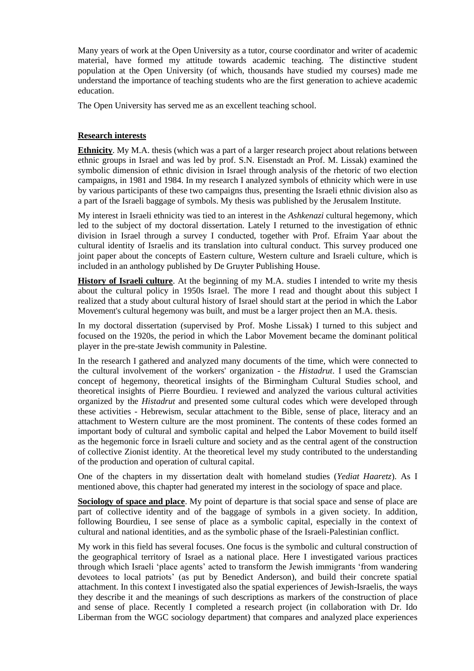Many years of work at the Open University as a tutor, course coordinator and writer of academic material, have formed my attitude towards academic teaching. The distinctive student population at the Open University (of which, thousands have studied my courses) made me understand the importance of teaching students who are the first generation to achieve academic education.

The Open University has served me as an excellent teaching school.

#### **Research interests**

**Ethnicity**. My M.A. thesis (which was a part of a larger research project about relations between ethnic groups in Israel and was led by prof. S.N. Eisenstadt an Prof. M. Lissak) examined the symbolic dimension of ethnic division in Israel through analysis of the rhetoric of two election campaigns, in 1981 and 1984. In my research I analyzed symbols of ethnicity which were in use by various participants of these two campaigns thus, presenting the Israeli ethnic division also as a part of the Israeli baggage of symbols. My thesis was published by the Jerusalem Institute.

My interest in Israeli ethnicity was tied to an interest in the *Ashkenazi* cultural hegemony, which led to the subject of my doctoral dissertation. Lately I returned to the investigation of ethnic division in Israel through a survey I conducted, together with Prof. Efraim Yaar about the cultural identity of Israelis and its translation into cultural conduct. This survey produced one joint paper about the concepts of Eastern culture, Western culture and Israeli culture, which is included in an anthology published by De Gruyter Publishing House.

**History of Israeli culture**. At the beginning of my M.A. studies I intended to write my thesis about the cultural policy in 1950s Israel. The more I read and thought about this subject I realized that a study about cultural history of Israel should start at the period in which the Labor Movement's cultural hegemony was built, and must be a larger project then an M.A. thesis.

In my doctoral dissertation (supervised by Prof. Moshe Lissak) I turned to this subject and focused on the 1920s, the period in which the Labor Movement became the dominant political player in the pre-state Jewish community in Palestine.

In the research I gathered and analyzed many documents of the time, which were connected to the cultural involvement of the workers' organization - the *Histadrut*. I used the Gramscian concept of hegemony, theoretical insights of the Birmingham Cultural Studies school, and theoretical insights of Pierre Bourdieu. I reviewed and analyzed the various cultural activities organized by the *Histadrut* and presented some cultural codes which were developed through these activities - Hebrewism, secular attachment to the Bible, sense of place, literacy and an attachment to Western culture are the most prominent. The contents of these codes formed an important body of cultural and symbolic capital and helped the Labor Movement to build itself as the hegemonic force in Israeli culture and society and as the central agent of the construction of collective Zionist identity. At the theoretical level my study contributed to the understanding of the production and operation of cultural capital.

One of the chapters in my dissertation dealt with homeland studies (*Yediat Haaretz*). As I mentioned above, this chapter had generated my interest in the sociology of space and place.

**Sociology of space and place**. My point of departure is that social space and sense of place are part of collective identity and of the baggage of symbols in a given society. In addition, following Bourdieu, I see sense of place as a symbolic capital, especially in the context of cultural and national identities, and as the symbolic phase of the Israeli-Palestinian conflict.

My work in this field has several focuses. One focus is the symbolic and cultural construction of the geographical territory of Israel as a national place. Here I investigated various practices through which Israeli 'place agents' acted to transform the Jewish immigrants 'from wandering devotees to local patriots' (as put by Benedict Anderson), and build their concrete spatial attachment. In this context I investigated also the spatial experiences of Jewish-Israelis, the ways they describe it and the meanings of such descriptions as markers of the construction of place and sense of place. Recently I completed a research project (in collaboration with Dr. Ido Liberman from the WGC sociology department) that compares and analyzed place experiences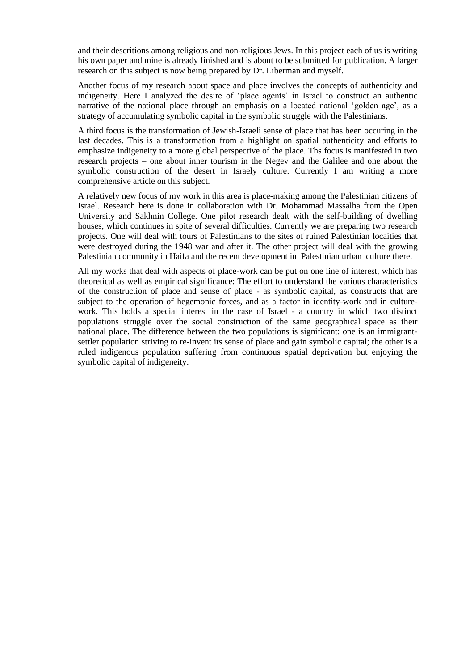and their descritions among religious and non-religious Jews. In this project each of us is writing his own paper and mine is already finished and is about to be submitted for publication. A larger research on this subject is now being prepared by Dr. Liberman and myself.

Another focus of my research about space and place involves the concepts of authenticity and indigeneity. Here I analyzed the desire of 'place agents' in Israel to construct an authentic narrative of the national place through an emphasis on a located national 'golden age', as a strategy of accumulating symbolic capital in the symbolic struggle with the Palestinians.

A third focus is the transformation of Jewish-Israeli sense of place that has been occuring in the last decades. This is a transformation from a highlight on spatial authenticity and efforts to emphasize indigeneity to a more global perspective of the place. Ths focus is manifested in two research projects – one about inner tourism in the Negev and the Galilee and one about the symbolic construction of the desert in Israely culture. Currently I am writing a more comprehensive article on this subject.

A relatively new focus of my work in this area is place-making among the Palestinian citizens of Israel. Research here is done in collaboration with Dr. Mohammad Massalha from the Open University and Sakhnin College. One pilot research dealt with the self-building of dwelling houses, which continues in spite of several difficulties. Currently we are preparing two research projects. One will deal with tours of Palestinians to the sites of ruined Palestinian locaities that were destroyed during the 1948 war and after it. The other project will deal with the growing Palestinian community in Haifa and the recent development in Palestinian urban culture there.

All my works that deal with aspects of place-work can be put on one line of interest, which has theoretical as well as empirical significance: The effort to understand the various characteristics of the construction of place and sense of place - as symbolic capital, as constructs that are subject to the operation of hegemonic forces, and as a factor in identity-work and in culturework. This holds a special interest in the case of Israel - a country in which two distinct populations struggle over the social construction of the same geographical space as their national place. The difference between the two populations is significant: one is an immigrantsettler population striving to re-invent its sense of place and gain symbolic capital; the other is a ruled indigenous population suffering from continuous spatial deprivation but enjoying the symbolic capital of indigeneity.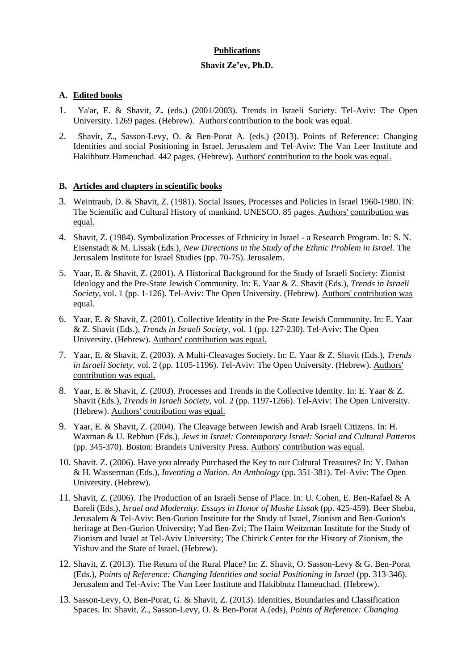#### **Publications**

#### **Shavit Ze'ev, Ph.D.**

#### **A. Edited books**

- 1. Ya'ar, E. & Shavit, Z**.** (eds.) (2001/2003). Trends in Israeli Society. Tel-Aviv: The Open University. 1269 pages. (Hebrew). Authors'contribution to the book was equal.
- 2. Shavit, Z., Sasson-Levy, O. & Ben-Porat A. (eds.) (2013). Points of Reference: Changing Identities and social Positioning in Israel. Jerusalem and Tel-Aviv: The Van Leer Institute and Hakibbutz Hameuchad. 442 pages. (Hebrew). Authors' contribution to the book was equal.

#### **B. Articles and chapters in scientific books**

- 3. Weintraub, D. & Shavit, Z. (1981). Social Issues, Processes and Policies in Israel 1960-1980. IN: The Scientific and Cultural History of mankind. UNESCO. 85 pages. Authors' contribution was equal.
- 4. Shavit, Z. (1984). Symbolization Processes of Ethnicity in Israel a Research Program. In: S. N. Eisenstadt & M. Lissak (Eds.), *New Directions in the Study of the Ethnic Problem in Israel*. The Jerusalem Institute for Israel Studies (pp. 70-75). Jerusalem.
- 5. Yaar, E. & Shavit, Z. (2001). A Historical Background for the Study of Israeli Society: Zionist Ideology and the Pre-State Jewish Community. In: E. Yaar & Z. Shavit (Eds.), *Trends in Israeli Society,* vol. 1 (pp. 1-126). Tel-Aviv: The Open University. (Hebrew). Authors' contribution was equal.
- 6. Yaar, E. & Shavit, Z. (2001). Collective Identity in the Pre-State Jewish Community. In: E. Yaar & Z. Shavit (Eds.), *Trends in Israeli Society,* vol. 1 (pp. 127-230). Tel-Aviv: The Open University. (Hebrew). Authors' contribution was equal.
- 7. Yaar, E. & Shavit, Z. (2003). A Multi-Cleavages Society. In: E. Yaar & Z. Shavit (Eds.), *Trends in Israeli Society,* vol. 2 (pp. 1105-1196). Tel-Aviv: The Open University. (Hebrew). Authors' contribution was equal.
- 8. Yaar, E. & Shavit, Z. (2003). Processes and Trends in the Collective Identity. In: E. Yaar & Z. Shavit (Eds.), *Trends in Israeli Society,* vol. 2 (pp. 1197-1266). Tel-Aviv: The Open University. (Hebrew). Authors' contribution was equal.
- 9. Yaar, E. & Shavit, Z. (2004). The Cleavage between Jewish and Arab Israeli Citizens. In: H. Waxman & U. Rebhun (Eds.), *Jews in Israel: Contemporary Israel: Social and Cultural Patterns* (pp. 345-370). Boston: Brandeis University Press. Authors' contribution was equal.
- 10. Shavit. Z. (2006). Have you already Purchased the Key to our Cultural Treasures? In: Y. Dahan & H. Wasserman (Eds.), *Inventing a Nation. An Anthology* (pp. 351-381). Tel-Aviv: The Open University. (Hebrew).
- 11. Shavit, Z. (2006). The Production of an Israeli Sense of Place. In: U. Cohen, E. Ben-Rafael & A Bareli (Eds.), *Israel and Modernity. Essays in Honor of Moshe Lissak* (pp. 425-459). Beer Sheba, Jerusalem & Tel-Aviv: Ben-Gurion Institute for the Study of Israel, Zionism and Ben-Gurion's heritage at Ben-Gurion University; Yad Ben-Zvi; The Haim Weitzman Institute for the Study of Zionism and Israel at Tel-Aviv University; The Chirick Center for the History of Zionism, the Yishuv and the State of Israel. (Hebrew).
- 12. Shavit, Z. (2013). The Return of the Rural Place? In: Z. Shavit, O. Sasson-Levy & G. Ben-Porat (Eds.), *Points of Reference: Changing Identities and social Positioning in Israel* (pp. 313-346). Jerusalem and Tel-Aviv: The Van Leer Institute and Hakibbutz Hameuchad. (Hebrew).
- 13. Sasson-Levy, O, Ben-Porat, G. & Shavit, Z. (2013). Identities, Boundaries and Classification Spaces. In: Shavit, Z., Sasson-Levy, O. & Ben-Porat A.(eds), *Points of Reference: Changing*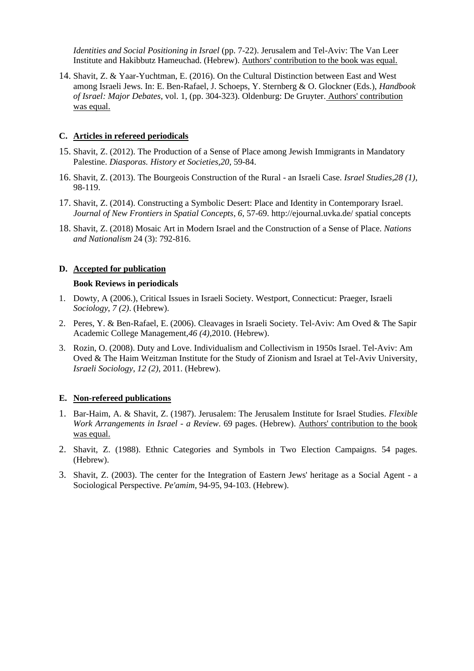*Identities and Social Positioning in Israel* (pp. 7-22). Jerusalem and Tel-Aviv: The Van Leer Institute and Hakibbutz Hameuchad. (Hebrew). Authors' contribution to the book was equal.

14. Shavit, Z. & Yaar-Yuchtman, E. (2016). On the Cultural Distinction between East and West among Israeli Jews. In: E. Ben-Rafael, J. Schoeps, Y. Sternberg & O. Glockner (Eds.), *Handbook of Israel: Major Debates*, vol. 1, (pp. 304-323). Oldenburg: De Gruyter. Authors' contribution was equal.

#### **C. Articles in refereed periodicals**

- 15. Shavit, Z. (2012). The Production of a Sense of Place among Jewish Immigrants in Mandatory Palestine. *Diasporas. History et Societies,20*, 59-84.
- 16. Shavit, Z. (2013). The Bourgeois Construction of the Rural an Israeli Case. *Israel Studies,28 (1)*, 98-119.
- 17. Shavit, Z. (2014). Constructing a Symbolic Desert: Place and Identity in Contemporary Israel. *Journal of New Frontiers in Spatial Concepts*, *6*, 57-69. http://ejournal.uvka.de/ spatial concepts
- 18. Shavit, Z. (2018) Mosaic Art in Modern Israel and the Construction of a Sense of Place. *Nations and Nationalism* 24 (3): 792-816.

#### **D. Accepted for publication**

#### **Book Reviews in periodicals**

- 1. Dowty, A (2006.), Critical Issues in Israeli Society. Westport, Connecticut: Praeger, Israeli *Sociology*, *7 (2)*. (Hebrew).
- 2. Peres, Y. & Ben-Rafael, E. (2006). Cleavages in Israeli Society. Tel-Aviv: Am Oved & The Sapir Academic College Management,*46 (4)*,2010. (Hebrew).
- 3. Rozin, O. (2008). Duty and Love. Individualism and Collectivism in 1950s Israel. Tel-Aviv: Am Oved & The Haim Weitzman Institute for the Study of Zionism and Israel at Tel-Aviv University, *Israeli Sociology*, *12 (2)*, 2011. (Hebrew).

#### **E. Non-refereed publications**

- 1. Bar-Haim, A. & Shavit, Z. (1987). Jerusalem: The Jerusalem Institute for Israel Studies. *Flexible Work Arrangements in Israel - a Review*. 69 pages. (Hebrew). Authors' contribution to the book was equal.
- 2. Shavit, Z. (1988). Ethnic Categories and Symbols in Two Election Campaigns. 54 pages. (Hebrew).
- 3. Shavit, Z. (2003). The center for the Integration of Eastern Jews' heritage as a Social Agent a Sociological Perspective. *Pe'amim*, 94-95, 94-103. (Hebrew).